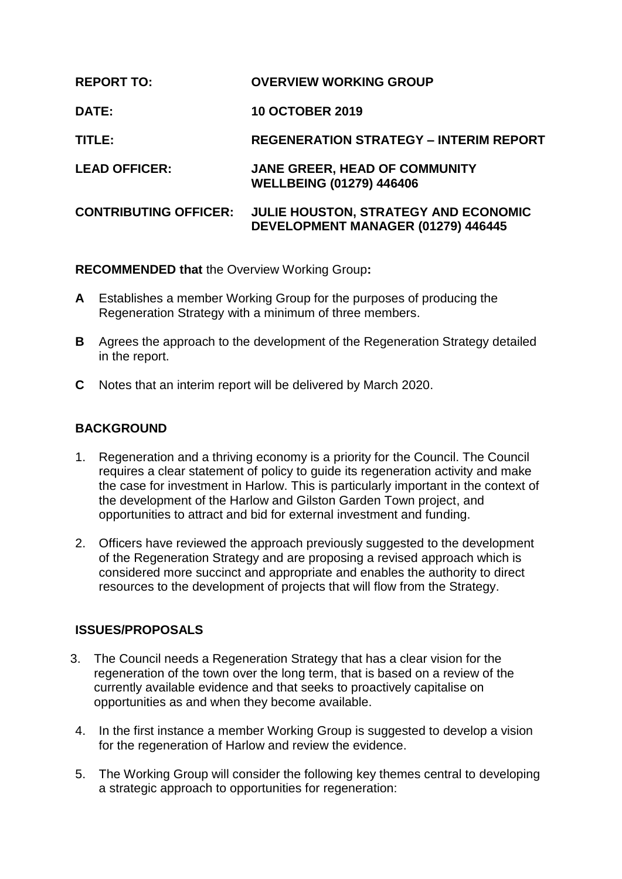| <b>REPORT TO:</b>            | <b>OVERVIEW WORKING GROUP</b>                                                     |
|------------------------------|-----------------------------------------------------------------------------------|
| <b>DATE:</b>                 | <b>10 OCTOBER 2019</b>                                                            |
| TITLE:                       | <b>REGENERATION STRATEGY - INTERIM REPORT</b>                                     |
| <b>LEAD OFFICER:</b>         | <b>JANE GREER, HEAD OF COMMUNITY</b><br><b>WELLBEING (01279) 446406</b>           |
| <b>CONTRIBUTING OFFICER:</b> | <b>JULIE HOUSTON, STRATEGY AND ECONOMIC</b><br>DEVELOPMENT MANAGER (01279) 446445 |

**RECOMMENDED that** the Overview Working Group**:**

- **A** Establishes a member Working Group for the purposes of producing the Regeneration Strategy with a minimum of three members.
- **B** Agrees the approach to the development of the Regeneration Strategy detailed in the report.
- **C** Notes that an interim report will be delivered by March 2020.

### **BACKGROUND**

- 1. Regeneration and a thriving economy is a priority for the Council. The Council requires a clear statement of policy to guide its regeneration activity and make the case for investment in Harlow. This is particularly important in the context of the development of the Harlow and Gilston Garden Town project, and opportunities to attract and bid for external investment and funding.
- 2. Officers have reviewed the approach previously suggested to the development of the Regeneration Strategy and are proposing a revised approach which is considered more succinct and appropriate and enables the authority to direct resources to the development of projects that will flow from the Strategy.

### **ISSUES/PROPOSALS**

- 3. The Council needs a Regeneration Strategy that has a clear vision for the regeneration of the town over the long term, that is based on a review of the currently available evidence and that seeks to proactively capitalise on opportunities as and when they become available.
- 4. In the first instance a member Working Group is suggested to develop a vision for the regeneration of Harlow and review the evidence.
- 5. The Working Group will consider the following key themes central to developing a strategic approach to opportunities for regeneration: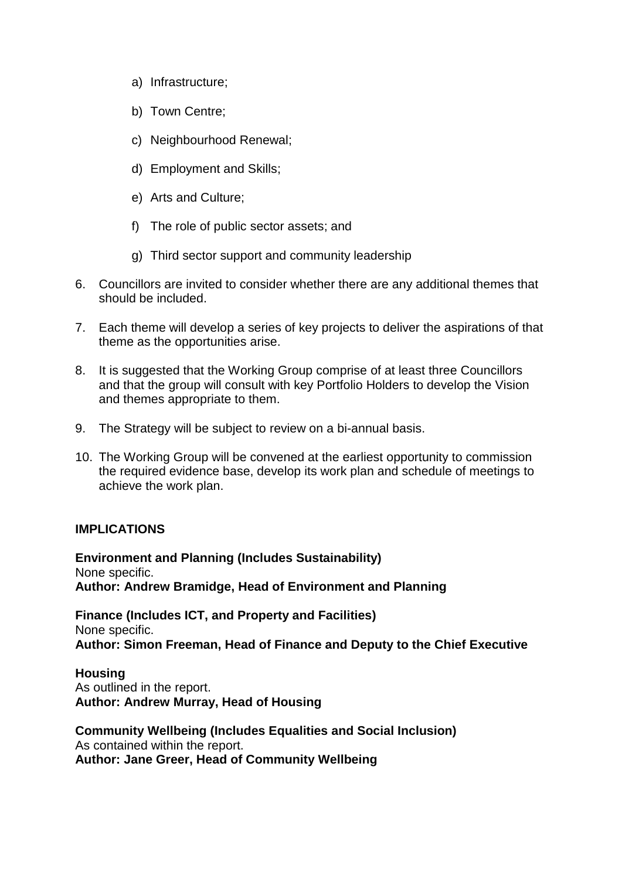- a) Infrastructure;
- b) Town Centre;
- c) Neighbourhood Renewal;
- d) Employment and Skills;
- e) Arts and Culture;
- f) The role of public sector assets; and
- g) Third sector support and community leadership
- 6. Councillors are invited to consider whether there are any additional themes that should be included.
- 7. Each theme will develop a series of key projects to deliver the aspirations of that theme as the opportunities arise.
- 8. It is suggested that the Working Group comprise of at least three Councillors and that the group will consult with key Portfolio Holders to develop the Vision and themes appropriate to them.
- 9. The Strategy will be subject to review on a bi-annual basis.
- 10. The Working Group will be convened at the earliest opportunity to commission the required evidence base, develop its work plan and schedule of meetings to achieve the work plan.

#### **IMPLICATIONS**

**Environment and Planning (Includes Sustainability)** None specific. **Author: Andrew Bramidge, Head of Environment and Planning**

**Finance (Includes ICT, and Property and Facilities)** None specific. **Author: Simon Freeman, Head of Finance and Deputy to the Chief Executive**

**Housing** As outlined in the report. **Author: Andrew Murray, Head of Housing**

**Community Wellbeing (Includes Equalities and Social Inclusion)** As contained within the report. **Author: Jane Greer, Head of Community Wellbeing**